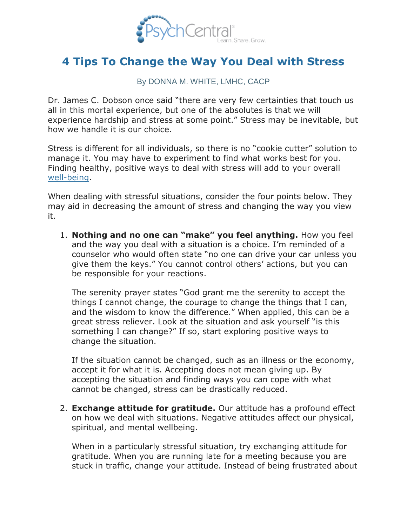

## **[4 Tips To Change the Way You Deal with Stress](http://psychcentral.com/lib/2011/4-tips-to-change-the-way-you-deal-with-stress/)**

By DONNA M. WHITE, LMHC, CACP

Dr. James C. Dobson once said "there are very few certainties that touch us all in this mortal experience, but one of the absolutes is that we will experience hardship and stress at some point." Stress may be inevitable, but how we handle it is our choice.

Stress is different for all individuals, so there is no "cookie cutter" solution to manage it. You may have to experiment to find what works best for you. Finding healthy, positive ways to deal with stress will add to your overall [well-being.](http://blogs.psychcentral.com/dbt/2010/08/taking-responsibility-for-your-own-well-being/)

When dealing with stressful situations, consider the four points below. They may aid in decreasing the amount of stress and changing the way you view it.

1. **Nothing and no one can "make" you feel anything.** How you feel and the way you deal with a situation is a choice. I'm reminded of a counselor who would often state "no one can drive your car unless you give them the keys." You cannot control others' actions, but you can be responsible for your reactions.

The serenity prayer states "God grant me the serenity to accept the things I cannot change, the courage to change the things that I can, and the wisdom to know the difference." When applied, this can be a great stress reliever. Look at the situation and ask yourself "is this something I can change?" If so, start exploring positive ways to change the situation.

If the situation cannot be changed, such as an illness or the economy, accept it for what it is. Accepting does not mean giving up. By accepting the situation and finding ways you can cope with what cannot be changed, stress can be drastically reduced.

2. **Exchange attitude for gratitude.** Our attitude has a profound effect on how we deal with situations. Negative attitudes affect our physical, spiritual, and mental wellbeing.

When in a particularly stressful situation, try exchanging attitude for gratitude. When you are running late for a meeting because you are stuck in traffic, change your attitude. Instead of being frustrated about